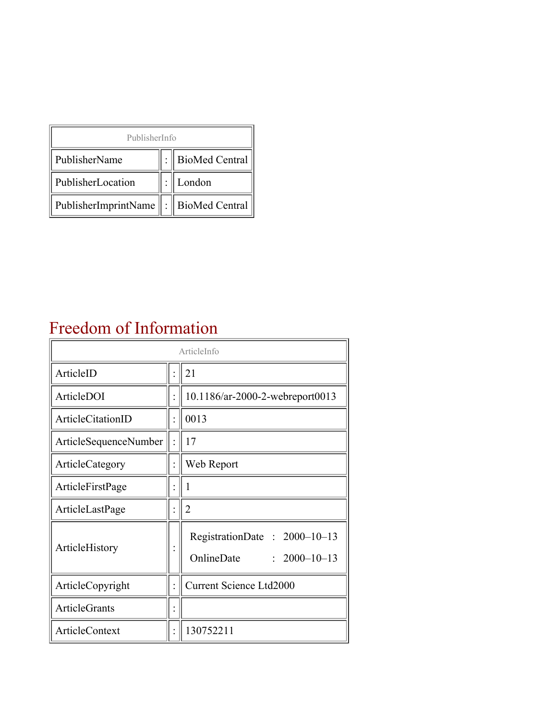| PublisherInfo                               |  |                |  |  |
|---------------------------------------------|--|----------------|--|--|
| PublisherName                               |  | BioMed Central |  |  |
| PublisherLocation                           |  | London         |  |  |
| PublisherImprintName    :    BioMed Central |  |                |  |  |

#### Freedom of Information

| ArticleInfo           |  |                                                                  |
|-----------------------|--|------------------------------------------------------------------|
| ArticleID             |  | 21                                                               |
| ArticleDOI            |  | 10.1186/ar-2000-2-webreport0013                                  |
| ArticleCitationID     |  | 0013                                                             |
| ArticleSequenceNumber |  | 17                                                               |
| ArticleCategory       |  | Web Report                                                       |
| ArticleFirstPage      |  | 1                                                                |
| ArticleLastPage       |  | $\overline{2}$                                                   |
| ArticleHistory        |  | RegistrationDate: 2000-10-13<br>OnlineDate<br>$: 2000 - 10 - 13$ |
| ArticleCopyright      |  | Current Science Ltd2000                                          |
| <b>ArticleGrants</b>  |  |                                                                  |
| ArticleContext        |  | 130752211                                                        |